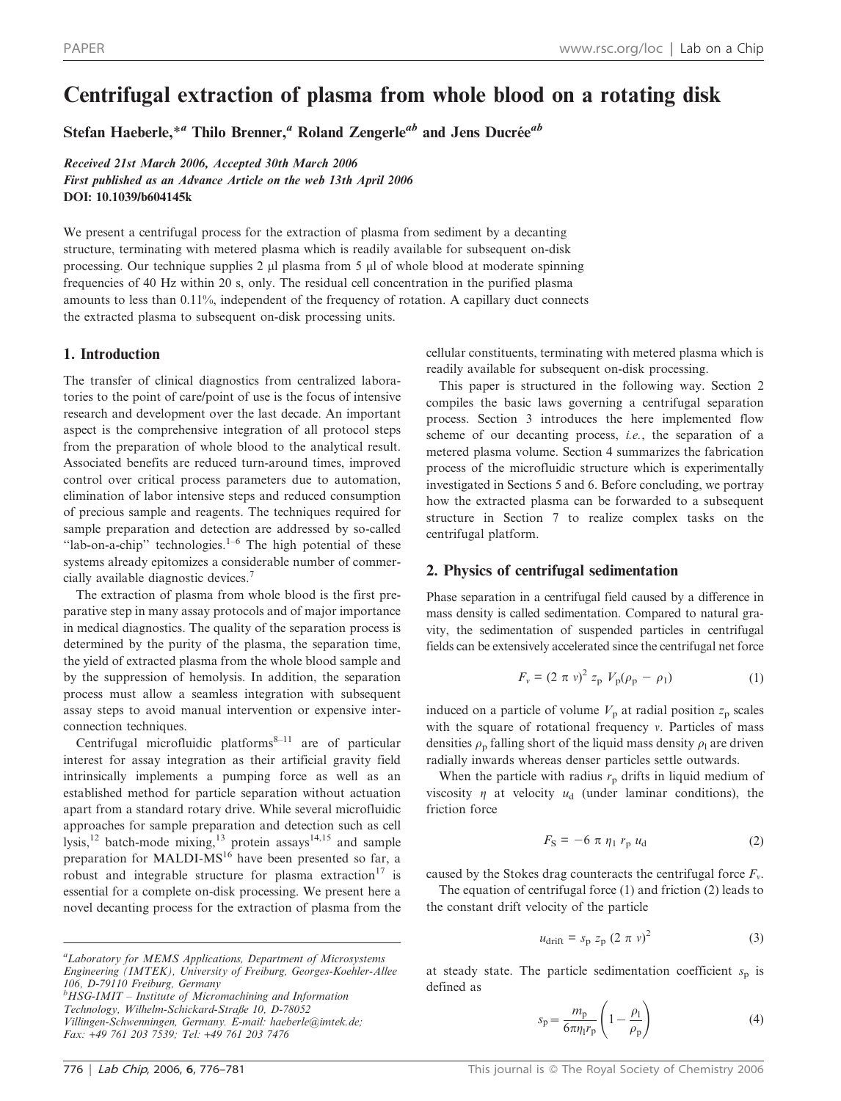# Centrifugal extraction of plasma from whole blood on a rotating disk

Stefan Haeberle,<sup>\*a</sup> Thilo Brenner,<sup>a</sup> Roland Zengerle<sup>ab</sup> and Jens Ducrée<sup>ab</sup>

Received 21st March 2006, Accepted 30th March 2006 First published as an Advance Article on the web 13th April 2006 DOI: 10.1039/b604145k

We present a centrifugal process for the extraction of plasma from sediment by a decanting structure, terminating with metered plasma which is readily available for subsequent on-disk processing. Our technique supplies  $2 \mu$  plasma from 5  $\mu$  of whole blood at moderate spinning frequencies of 40 Hz within 20 s, only. The residual cell concentration in the purified plasma amounts to less than 0.11%, independent of the frequency of rotation. A capillary duct connects the extracted plasma to subsequent on-disk processing units.

## 1. Introduction

The transfer of clinical diagnostics from centralized laboratories to the point of care/point of use is the focus of intensive research and development over the last decade. An important aspect is the comprehensive integration of all protocol steps from the preparation of whole blood to the analytical result. Associated benefits are reduced turn-around times, improved control over critical process parameters due to automation, elimination of labor intensive steps and reduced consumption of precious sample and reagents. The techniques required for sample preparation and detection are addressed by so-called "lab-on-a-chip" technologies. $1-6$  The high potential of these systems already epitomizes a considerable number of commercially available diagnostic devices.<sup>7</sup>

The extraction of plasma from whole blood is the first preparative step in many assay protocols and of major importance in medical diagnostics. The quality of the separation process is determined by the purity of the plasma, the separation time, the yield of extracted plasma from the whole blood sample and by the suppression of hemolysis. In addition, the separation process must allow a seamless integration with subsequent assay steps to avoid manual intervention or expensive interconnection techniques.

Centrifugal microfluidic platforms<sup>8–11</sup> are of particular interest for assay integration as their artificial gravity field intrinsically implements a pumping force as well as an established method for particle separation without actuation apart from a standard rotary drive. While several microfluidic approaches for sample preparation and detection such as cell lysis,<sup>12</sup> batch-mode mixing,<sup>13</sup> protein assays<sup>14,15</sup> and sample preparation for MALDI-MS<sup>16</sup> have been presented so far, a robust and integrable structure for plasma extraction<sup>17</sup> is essential for a complete on-disk processing. We present here a novel decanting process for the extraction of plasma from the

Villingen-Schwenningen, Germany. E-mail: haeberle@imtek.de; Fax: +49 761 203 7539; Tel: +49 761 203 7476

cellular constituents, terminating with metered plasma which is readily available for subsequent on-disk processing.

This paper is structured in the following way. Section 2 compiles the basic laws governing a centrifugal separation process. Section 3 introduces the here implemented flow scheme of our decanting process, i.e., the separation of a metered plasma volume. Section 4 summarizes the fabrication process of the microfluidic structure which is experimentally investigated in Sections 5 and 6. Before concluding, we portray how the extracted plasma can be forwarded to a subsequent structure in Section 7 to realize complex tasks on the centrifugal platform.

# 2. Physics of centrifugal sedimentation

Phase separation in a centrifugal field caused by a difference in mass density is called sedimentation. Compared to natural gravity, the sedimentation of suspended particles in centrifugal fields can be extensively accelerated since the centrifugal net force

$$
F_v = (2 \pi v)^2 z_p V_p (\rho_p - \rho_1)
$$
 (1)

induced on a particle of volume  $V<sub>p</sub>$  at radial position  $z<sub>p</sub>$  scales with the square of rotational frequency  $v$ . Particles of mass densities  $\rho_p$  falling short of the liquid mass density  $\rho_1$  are driven radially inwards whereas denser particles settle outwards.

When the particle with radius  $r_p$  drifts in liquid medium of viscosity  $\eta$  at velocity  $u_d$  (under laminar conditions), the friction force

$$
F_{\rm S} = -6 \pi \eta_1 r_{\rm p} u_{\rm d} \tag{2}
$$

caused by the Stokes drag counteracts the centrifugal force  $F_v$ .

The equation of centrifugal force (1) and friction (2) leads to the constant drift velocity of the particle

$$
u_{\text{drift}} = s_{\text{p}} z_{\text{p}} (2 \pi \nu)^2 \tag{3}
$$

at steady state. The particle sedimentation coefficient  $s_p$  is defined as

$$
s_{\rm p} = \frac{m_{\rm p}}{6\pi \eta_{\rm l} r_{\rm p}} \left(1 - \frac{\rho_{\rm l}}{\rho_{\rm p}}\right) \tag{4}
$$

<sup>&</sup>lt;sup>a</sup>Laboratory for MEMS Applications, Department of Microsystems Engineering (IMTEK), University of Freiburg, Georges-Koehler-Allee 106, D-79110 Freiburg, Germany  $^{b}$ HSG-IMIT – Institute of Micromachining and Information Technology, Wilhelm-Schickard-Straße 10, D-78052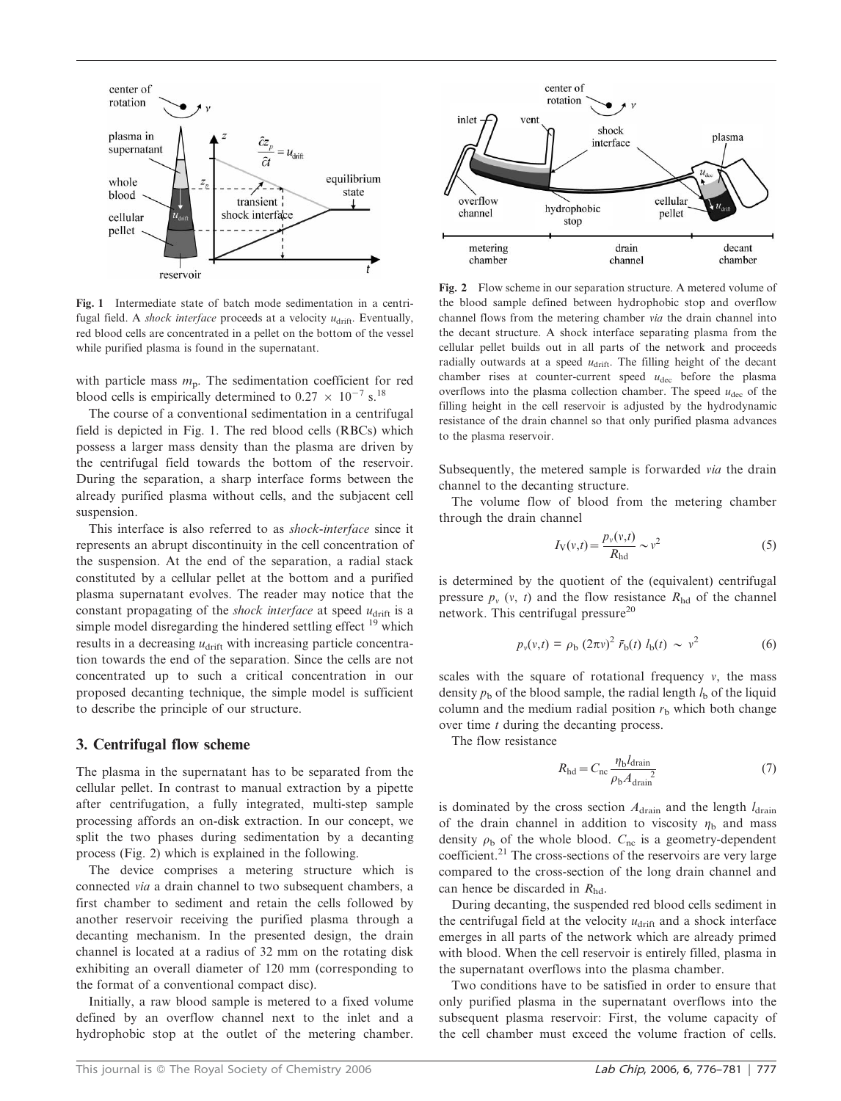

Fig. 1 Intermediate state of batch mode sedimentation in a centrifugal field. A *shock interface* proceeds at a velocity  $u_{\text{drift}}$ . Eventually, red blood cells are concentrated in a pellet on the bottom of the vessel while purified plasma is found in the supernatant.

with particle mass  $m_p$ . The sedimentation coefficient for red blood cells is empirically determined to  $0.27 \times 10^{-7}$  s.<sup>18</sup>

The course of a conventional sedimentation in a centrifugal field is depicted in Fig. 1. The red blood cells (RBCs) which possess a larger mass density than the plasma are driven by the centrifugal field towards the bottom of the reservoir. During the separation, a sharp interface forms between the already purified plasma without cells, and the subjacent cell suspension.

This interface is also referred to as shock-interface since it represents an abrupt discontinuity in the cell concentration of the suspension. At the end of the separation, a radial stack constituted by a cellular pellet at the bottom and a purified plasma supernatant evolves. The reader may notice that the constant propagating of the *shock interface* at speed  $u<sub>drift</sub>$  is a simple model disregarding the hindered settling effect  $19$  which results in a decreasing  $u<sub>drift</sub>$  with increasing particle concentration towards the end of the separation. Since the cells are not concentrated up to such a critical concentration in our proposed decanting technique, the simple model is sufficient to describe the principle of our structure.

## 3. Centrifugal flow scheme

The plasma in the supernatant has to be separated from the cellular pellet. In contrast to manual extraction by a pipette after centrifugation, a fully integrated, multi-step sample processing affords an on-disk extraction. In our concept, we split the two phases during sedimentation by a decanting process (Fig. 2) which is explained in the following.

The device comprises a metering structure which is connected via a drain channel to two subsequent chambers, a first chamber to sediment and retain the cells followed by another reservoir receiving the purified plasma through a decanting mechanism. In the presented design, the drain channel is located at a radius of 32 mm on the rotating disk exhibiting an overall diameter of 120 mm (corresponding to the format of a conventional compact disc).

Initially, a raw blood sample is metered to a fixed volume defined by an overflow channel next to the inlet and a hydrophobic stop at the outlet of the metering chamber.



Fig. 2 Flow scheme in our separation structure. A metered volume of the blood sample defined between hydrophobic stop and overflow channel flows from the metering chamber via the drain channel into the decant structure. A shock interface separating plasma from the cellular pellet builds out in all parts of the network and proceeds radially outwards at a speed  $u<sub>drift</sub>$ . The filling height of the decant chamber rises at counter-current speed  $u_{\text{dec}}$  before the plasma overflows into the plasma collection chamber. The speed  $u_{\text{dec}}$  of the filling height in the cell reservoir is adjusted by the hydrodynamic resistance of the drain channel so that only purified plasma advances to the plasma reservoir.

Subsequently, the metered sample is forwarded via the drain channel to the decanting structure.

The volume flow of blood from the metering chamber through the drain channel

$$
I_V(v,t) = \frac{p_v(v,t)}{R_{\text{hd}}} \sim v^2
$$
 (5)

is determined by the quotient of the (equivalent) centrifugal pressure  $p_v$  (v, t) and the flow resistance  $R_{\text{hd}}$  of the channel network. This centrifugal pressure<sup>20</sup>

$$
p_v(v,t) = \rho_b (2\pi v)^2 \bar{r}_b(t) l_b(t) \sim v^2
$$
 (6)

scales with the square of rotational frequency  $v$ , the mass density  $p<sub>b</sub>$  of the blood sample, the radial length  $l<sub>b</sub>$  of the liquid column and the medium radial position  $r<sub>b</sub>$  which both change over time t during the decanting process.

The flow resistance

$$
R_{\rm hd} = C_{\rm nc} \frac{\eta_{\rm b} l_{\rm drain}}{\rho_{\rm b} A_{\rm drain}} \tag{7}
$$

is dominated by the cross section  $A<sub>drain</sub>$  and the length  $l<sub>drain</sub>$ of the drain channel in addition to viscosity  $\eta_b$  and mass density  $\rho_b$  of the whole blood.  $C_{nc}$  is a geometry-dependent coefficient.<sup>21</sup> The cross-sections of the reservoirs are very large compared to the cross-section of the long drain channel and can hence be discarded in  $R_{\text{hd}}$ .

During decanting, the suspended red blood cells sediment in the centrifugal field at the velocity  $u<sub>drift</sub>$  and a shock interface emerges in all parts of the network which are already primed with blood. When the cell reservoir is entirely filled, plasma in the supernatant overflows into the plasma chamber.

Two conditions have to be satisfied in order to ensure that only purified plasma in the supernatant overflows into the subsequent plasma reservoir: First, the volume capacity of the cell chamber must exceed the volume fraction of cells.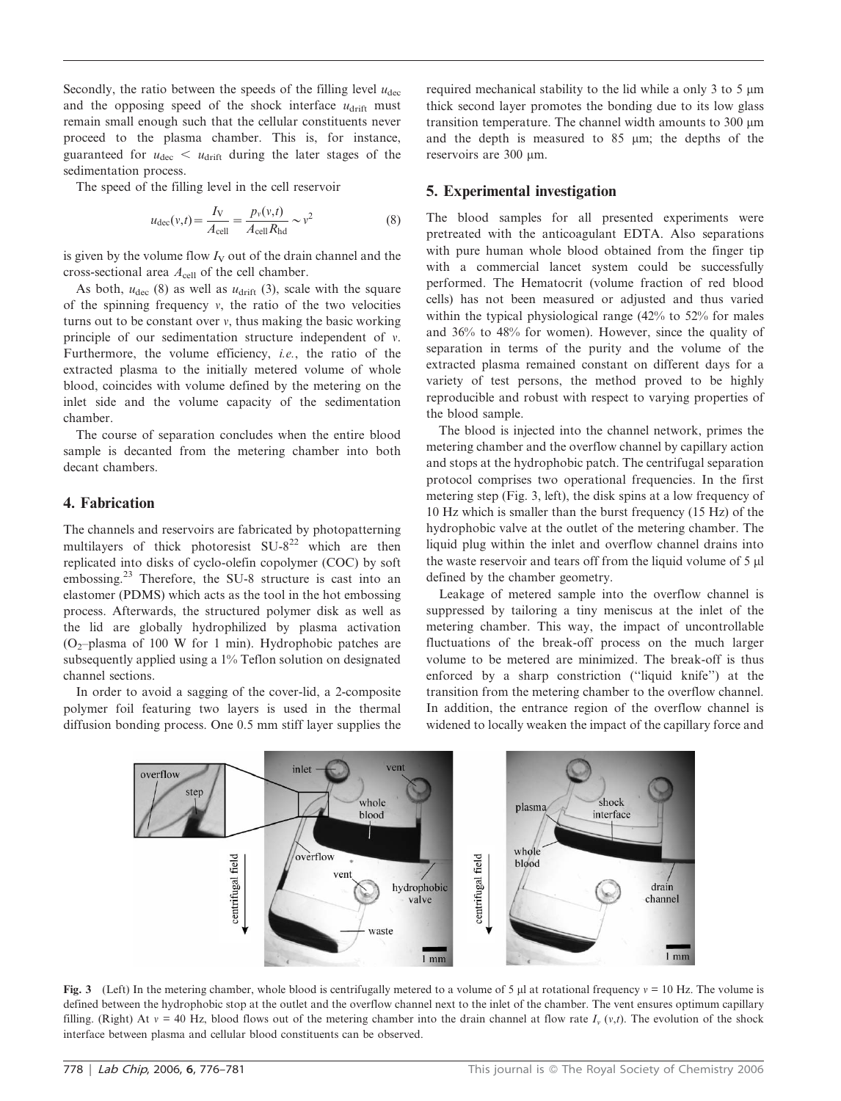Secondly, the ratio between the speeds of the filling level  $u_{\text{dec}}$ and the opposing speed of the shock interface  $u_{\text{drift}}$  must remain small enough such that the cellular constituents never proceed to the plasma chamber. This is, for instance, guaranteed for  $u_{\text{dec}} < u_{\text{drift}}$  during the later stages of the sedimentation process.

The speed of the filling level in the cell reservoir

$$
u_{\text{dec}}(v,t) = \frac{I_V}{A_{\text{cell}}} = \frac{p_v(v,t)}{A_{\text{cell}}R_{\text{hd}}} \sim v^2
$$
 (8)

is given by the volume flow  $I_V$  out of the drain channel and the cross-sectional area  $A_{cell}$  of the cell chamber.

As both,  $u_{\text{dec}}$  (8) as well as  $u_{\text{drift}}$  (3), scale with the square of the spinning frequency  $v$ , the ratio of the two velocities turns out to be constant over  $v$ , thus making the basic working principle of our sedimentation structure independent of  $v$ . Furthermore, the volume efficiency, i.e., the ratio of the extracted plasma to the initially metered volume of whole blood, coincides with volume defined by the metering on the inlet side and the volume capacity of the sedimentation chamber.

The course of separation concludes when the entire blood sample is decanted from the metering chamber into both decant chambers.

## 4. Fabrication

The channels and reservoirs are fabricated by photopatterning multilayers of thick photoresist  $SU-8^{22}$  which are then replicated into disks of cyclo-olefin copolymer (COC) by soft embossing.<sup>23</sup> Therefore, the SU-8 structure is cast into an elastomer (PDMS) which acts as the tool in the hot embossing process. Afterwards, the structured polymer disk as well as the lid are globally hydrophilized by plasma activation (O<sub>2</sub>-plasma of 100 W for 1 min). Hydrophobic patches are subsequently applied using a 1% Teflon solution on designated channel sections.

In order to avoid a sagging of the cover-lid, a 2-composite polymer foil featuring two layers is used in the thermal diffusion bonding process. One 0.5 mm stiff layer supplies the required mechanical stability to the lid while a only 3 to 5  $\mu$ m thick second layer promotes the bonding due to its low glass transition temperature. The channel width amounts to  $300 \mu m$ and the depth is measured to 85 mm; the depths of the reservoirs are 300 µm.

### 5. Experimental investigation

The blood samples for all presented experiments were pretreated with the anticoagulant EDTA. Also separations with pure human whole blood obtained from the finger tip with a commercial lancet system could be successfully performed. The Hematocrit (volume fraction of red blood cells) has not been measured or adjusted and thus varied within the typical physiological range (42% to 52% for males and 36% to 48% for women). However, since the quality of separation in terms of the purity and the volume of the extracted plasma remained constant on different days for a variety of test persons, the method proved to be highly reproducible and robust with respect to varying properties of the blood sample.

The blood is injected into the channel network, primes the metering chamber and the overflow channel by capillary action and stops at the hydrophobic patch. The centrifugal separation protocol comprises two operational frequencies. In the first metering step (Fig. 3, left), the disk spins at a low frequency of 10 Hz which is smaller than the burst frequency (15 Hz) of the hydrophobic valve at the outlet of the metering chamber. The liquid plug within the inlet and overflow channel drains into the waste reservoir and tears off from the liquid volume of  $5 \mu$ defined by the chamber geometry.

Leakage of metered sample into the overflow channel is suppressed by tailoring a tiny meniscus at the inlet of the metering chamber. This way, the impact of uncontrollable fluctuations of the break-off process on the much larger volume to be metered are minimized. The break-off is thus enforced by a sharp constriction (''liquid knife'') at the transition from the metering chamber to the overflow channel. In addition, the entrance region of the overflow channel is widened to locally weaken the impact of the capillary force and



Fig. 3 (Left) In the metering chamber, whole blood is centrifugally metered to a volume of 5  $\mu$  at rotational frequency  $v = 10$  Hz. The volume is defined between the hydrophobic stop at the outlet and the overflow channel next to the inlet of the chamber. The vent ensures optimum capillary filling. (Right) At  $v = 40$  Hz, blood flows out of the metering chamber into the drain channel at flow rate  $I_v(v,t)$ . The evolution of the shock interface between plasma and cellular blood constituents can be observed.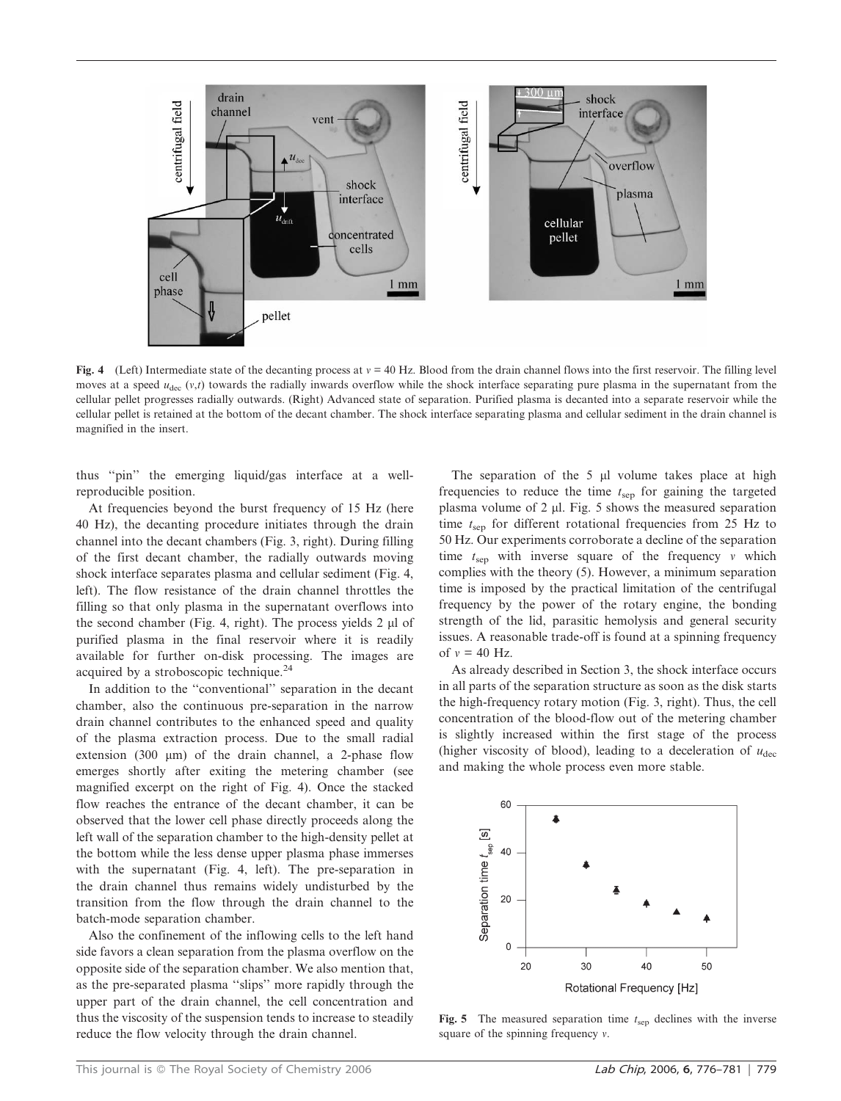

Fig. 4 (Left) Intermediate state of the decanting process at  $v = 40$  Hz. Blood from the drain channel flows into the first reservoir. The filling level moves at a speed  $u_{\text{dec}}(v,t)$  towards the radially inwards overflow while the shock interface separating pure plasma in the supernatant from the cellular pellet progresses radially outwards. (Right) Advanced state of separation. Purified plasma is decanted into a separate reservoir while the cellular pellet is retained at the bottom of the decant chamber. The shock interface separating plasma and cellular sediment in the drain channel is magnified in the insert.

thus ''pin'' the emerging liquid/gas interface at a wellreproducible position.

At frequencies beyond the burst frequency of 15 Hz (here 40 Hz), the decanting procedure initiates through the drain channel into the decant chambers (Fig. 3, right). During filling of the first decant chamber, the radially outwards moving shock interface separates plasma and cellular sediment (Fig. 4, left). The flow resistance of the drain channel throttles the filling so that only plasma in the supernatant overflows into the second chamber (Fig. 4, right). The process yields  $2 \mu$ l of purified plasma in the final reservoir where it is readily available for further on-disk processing. The images are acquired by a stroboscopic technique.<sup>24</sup>

In addition to the ''conventional'' separation in the decant chamber, also the continuous pre-separation in the narrow drain channel contributes to the enhanced speed and quality of the plasma extraction process. Due to the small radial extension (300  $\mu$ m) of the drain channel, a 2-phase flow emerges shortly after exiting the metering chamber (see magnified excerpt on the right of Fig. 4). Once the stacked flow reaches the entrance of the decant chamber, it can be observed that the lower cell phase directly proceeds along the left wall of the separation chamber to the high-density pellet at the bottom while the less dense upper plasma phase immerses with the supernatant (Fig. 4, left). The pre-separation in the drain channel thus remains widely undisturbed by the transition from the flow through the drain channel to the batch-mode separation chamber.

Also the confinement of the inflowing cells to the left hand side favors a clean separation from the plasma overflow on the opposite side of the separation chamber. We also mention that, as the pre-separated plasma ''slips'' more rapidly through the upper part of the drain channel, the cell concentration and thus the viscosity of the suspension tends to increase to steadily reduce the flow velocity through the drain channel.

The separation of the  $5 \mu l$  volume takes place at high frequencies to reduce the time  $t_{\text{sep}}$  for gaining the targeted plasma volume of  $2 \mu l$ . Fig. 5 shows the measured separation time  $t_{\text{sep}}$  for different rotational frequencies from 25 Hz to 50 Hz. Our experiments corroborate a decline of the separation time  $t_{\text{sep}}$  with inverse square of the frequency v which complies with the theory (5). However, a minimum separation time is imposed by the practical limitation of the centrifugal frequency by the power of the rotary engine, the bonding strength of the lid, parasitic hemolysis and general security issues. A reasonable trade-off is found at a spinning frequency of  $v = 40$  Hz.

As already described in Section 3, the shock interface occurs in all parts of the separation structure as soon as the disk starts the high-frequency rotary motion (Fig. 3, right). Thus, the cell concentration of the blood-flow out of the metering chamber is slightly increased within the first stage of the process (higher viscosity of blood), leading to a deceleration of  $u_{\text{dec}}$ and making the whole process even more stable.



Fig. 5 The measured separation time  $t<sub>sep</sub>$  declines with the inverse square of the spinning frequency  $v$ .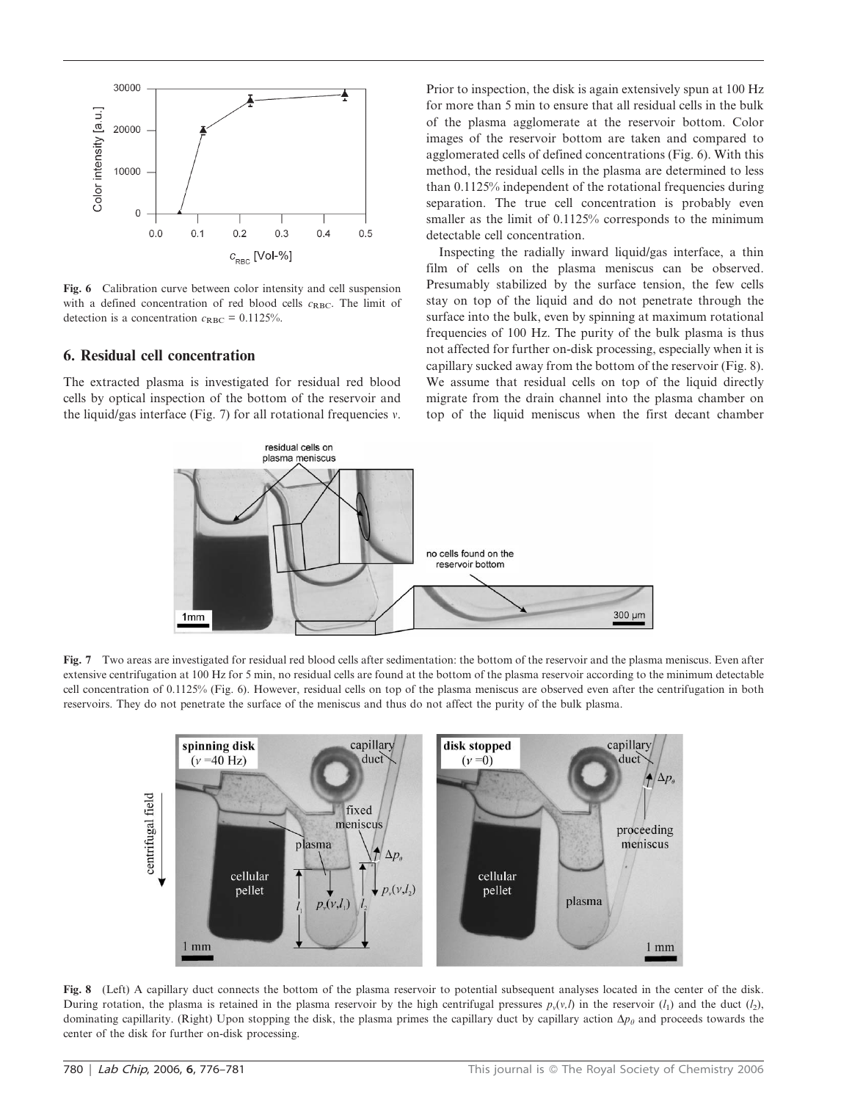

Fig. 6 Calibration curve between color intensity and cell suspension with a defined concentration of red blood cells  $c_{RBC}$ . The limit of detection is a concentration  $c_{RBC} = 0.1125\%$ .

#### 6. Residual cell concentration

The extracted plasma is investigated for residual red blood cells by optical inspection of the bottom of the reservoir and the liquid/gas interface (Fig. 7) for all rotational frequencies  $v$ . Prior to inspection, the disk is again extensively spun at 100 Hz for more than 5 min to ensure that all residual cells in the bulk of the plasma agglomerate at the reservoir bottom. Color images of the reservoir bottom are taken and compared to agglomerated cells of defined concentrations (Fig. 6). With this method, the residual cells in the plasma are determined to less than 0.1125% independent of the rotational frequencies during separation. The true cell concentration is probably even smaller as the limit of  $0.1125%$  corresponds to the minimum detectable cell concentration.

Inspecting the radially inward liquid/gas interface, a thin film of cells on the plasma meniscus can be observed. Presumably stabilized by the surface tension, the few cells stay on top of the liquid and do not penetrate through the surface into the bulk, even by spinning at maximum rotational frequencies of 100 Hz. The purity of the bulk plasma is thus not affected for further on-disk processing, especially when it is capillary sucked away from the bottom of the reservoir (Fig. 8). We assume that residual cells on top of the liquid directly migrate from the drain channel into the plasma chamber on top of the liquid meniscus when the first decant chamber



Fig. 7 Two areas are investigated for residual red blood cells after sedimentation: the bottom of the reservoir and the plasma meniscus. Even after extensive centrifugation at 100 Hz for 5 min, no residual cells are found at the bottom of the plasma reservoir according to the minimum detectable cell concentration of 0.1125% (Fig. 6). However, residual cells on top of the plasma meniscus are observed even after the centrifugation in both reservoirs. They do not penetrate the surface of the meniscus and thus do not affect the purity of the bulk plasma.



Fig. 8 (Left) A capillary duct connects the bottom of the plasma reservoir to potential subsequent analyses located in the center of the disk. During rotation, the plasma is retained in the plasma reservoir by the high centrifugal pressures  $p_y(y, l)$  in the reservoir  $(l_1)$  and the duct  $(l_2)$ , dominating capillarity. (Right) Upon stopping the disk, the plasma primes the capillary duct by capillary action  $\Delta p_\theta$  and proceeds towards the center of the disk for further on-disk processing.